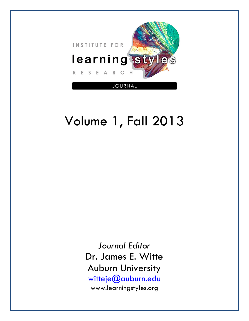

# Volume 1, Fall 2013

*Journal Editor*  Dr. James E. Witte Auburn University witteje@auburn.edu www.learningstyles.org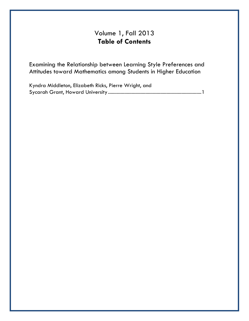# Volume 1, Fall 2013 **Table of Contents**

Examining the Relationship between Learning Style Preferences and Attitudes toward Mathematics among Students in Higher Education

Kyndra Middleton, Elizabeth Ricks, Pierre Wright, and Sycarah Grant, Howard University ........................................................................... 1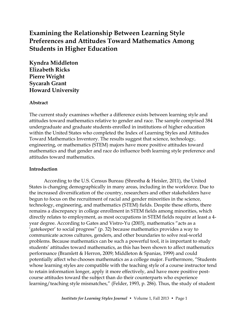# **Examining the Relationship Between Learning Style Preferences and Attitudes Toward Mathematics Among Students in Higher Education**

**Kyndra Middleton Elizabeth Ricks Pierre Wright Sycarah Grant Howard University**

# **Abstract**

The current study examines whether a difference exists between learning style and attitudes toward mathematics relative to gender and race. The sample comprised 384 undergraduate and graduate students enrolled in institutions of higher education within the United States who completed the Index of Learning Styles and Attitudes Toward Mathematics Inventory. The results suggest that science, technology, engineering, or mathematics (STEM) majors have more positive attitudes toward mathematics and that gender and race do influence both learning style preference and attitudes toward mathematics.

# **Introduction**

According to the U.S. Census Bureau (Shrestha & Heisler, 2011), the United States is changing demographically in many areas, including in the workforce. Due to the increased diversification of the country, researchers and other stakeholders have begun to focus on the recruitment of racial and gender minorities in the science, technology, engineering, and mathematics (STEM) fields. Despite these efforts, there remains a discrepancy in college enrollment in STEM fields among minorities, which directly relates to employment, as most occupations in STEM fields require at least a 4 year degree. According to Gates and Vistro-Yu (2003), mathematics "acts as a 'gatekeeper' to social progress" (p. 32) because mathematics provides a way to communicate across cultures, genders, and other boundaries to solve real-world problems. Because mathematics can be such a powerful tool, it is important to study students' attitudes toward mathematics, as this has been shown to affect mathematics performance (Bramlett & Herron, 2009; Middleton & Spanias, 1999) and could potentially affect who chooses mathematics as a college major. Furthermore, "Students whose learning styles are compatible with the teaching style of a course instructor tend to retain information longer, apply it more effectively, and have more positive postcourse attitudes toward the subject than do their counterparts who experience learning/teaching style mismatches," (Felder, 1993, p. 286). Thus, the study of student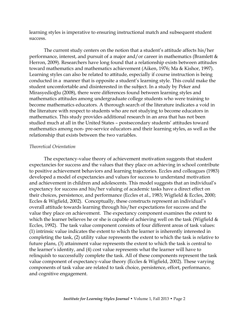learning styles is imperative to ensuring instructional match and subsequent student success.

The current study centers on the notion that a student's attitude affects his/her performance, interest, and pursuit of a major and/or career in mathematics (Bramlett & Herron, 2009). Researchers have long found that a relationship exists between attitudes toward mathematics and mathematics achievement (Aiken, 1976; Ma & Kishor, 1997). Learning styles can also be related to attitude, especially if course instruction is being conducted in a manner that is opposite a student's learning style. This could make the student uncomfortable and disinterested in the subject. In a study by Peker and Mirasyedioğlu (2008), there were differences found between learning styles and mathematics attitudes among undergraduate college students who were training to become mathematics educators. A thorough search of the literature indicates a void in the literature with respect to students who are not studying to become educators in mathematics. This study provides additional research in an area that has not been studied much at all in the United States – postsecondary students' attitudes toward mathematics among non- pre-service educators and their learning styles, as well as the relationship that exists between the two variables.

#### *Theoretical Orientation*

The expectancy-value theory of achievement motivation suggests that student expectancies for success and the values that they place on achieving in school contribute to positive achievement behaviors and learning trajectories. Eccles and colleagues (1983) developed a model of expectancies and values for success to understand motivation and achievement in children and adolescents. This model suggests that an individual's expectancy for success and his/her valuing of academic tasks have a direct effect on their choices, persistence, and performance (Eccles et al., 1983; Wigfield & Eccles, 2000; Eccles & Wigfield, 2002). Conceptually, these constructs represent an individual's overall attitude towards learning through his/her expectations for success and the value they place on achievement. The expectancy component examines the extent to which the learner believes he or she is capable of achieving well on the task (Wigfield  $\&$ Eccles, 1992). The task value component consists of four different areas of task values: (1) intrinsic value indicates the extent to which the learner is inherently interested in completing the task, (2) utility value represents the extent to which the task is relative to future plans, (3) attainment value represents the extent to which the task is central to the learner's identity, and (4) cost value represents what the learner will have to relinquish to successfully complete the task. All of these components represent the task value component of expectancy-value theory (Eccles & Wigfield, 2002). These varying components of task value are related to task choice, persistence, effort, performance, and cognitive engagement.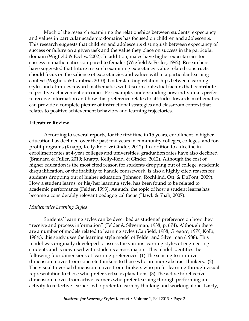Much of the research examining the relationships between students' expectancy and values in particular academic domains has focused on children and adolescents. This research suggests that children and adolescents distinguish between expectancy of success or failure on a given task and the value they place on success in the particular domain (Wigfield & Eccles, 2002). In addition, males have higher expectancies for success in mathematics compared to females (Wigfield & Eccles, 1992). Researchers have suggested that future research examining expectancy-value related constructs should focus on the salience of expectancies and values within a particular learning context (Wigfield & Cambria, 2010). Understanding relationships between learning styles and attitudes toward mathematics will discern contextual factors that contribute to positive achievement outcomes. For example, understanding how individuals prefer to receive information and how this preference relates to attitudes towards mathematics can provide a complete picture of instructional strategies and classroom context that relates to positive achievement behaviors and learning trajectories.

#### **Literature Review**

According to several reports, for the first time in 15 years, enrollment in higher education has declined over the past few years in community colleges, colleges, and forprofit programs (Knapp, Kelly-Reid, & Ginder, 2012). In addition to a decline in enrollment rates at 4-year colleges and universities, graduation rates have also declined (Brainard & Fuller, 2010; Knapp, Kelly-Reid, & Ginder, 2012). Although the cost of higher education is the most cited reason for students dropping out of college, academic disqualification, or the inability to handle coursework, is also a highly cited reason for students dropping out of higher education (Johnson, Rochkind, Ott, & DuPont; 2009). How a student learns, or his/her learning style, has been found to be related to academic performance (Felder, 1993). As such, the topic of how a student learns has become a considerably relevant pedagogical focus (Hawk & Shah, 2007).

#### *Mathematics Learning Styles*

Students' learning styles can be described as students' preference on how they "receive and process information" (Felder & Silverman, 1988, p. 674). Although there are a number of models related to learning styles (Canfield, 1988; Gregorc, 1979; Kolb, 1984;), this study uses the learning style model of Felder and Silverman (1988). This model was originally developed to assess the various learning styles of engineering students and is now used with students across majors. This model identifies the following four dimensions of learning preferences. (1) The sensing to intuitive dimension moves from concrete thinkers to those who are more abstract thinkers. (2) The visual to verbal dimension moves from thinkers who prefer learning through visual representation to those who prefer verbal explanations. (3) The active to reflective dimension moves from active learners who prefer learning through performing an activity to reflective learners who prefer to learn by thinking and working alone. Lastly,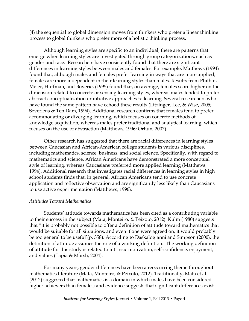(4) the sequential to global dimension moves from thinkers who prefer a linear thinking process to global thinkers who prefer more of a holistic thinking process.

Although learning styles are specific to an individual, there are patterns that emerge when learning styles are investigated through group categorizations, such as gender and race. Researchers have consistently found that there are significant differences in learning styles between males and females. For example, Matthews (1994) found that, although males and females prefer learning in ways that are more applied, females are more independent in their learning styles than males. Results from Philbin, Meier, Huffman, and Boverie, (1995) found that, on average, females score higher on the dimension related to concrete or sensing learning styles, whereas males tended to prefer abstract conceptualization or intuitive approaches to learning. Several researchers who have found the same pattern have echoed these results (Litzinger, Lee, & Wise, 2005; Severiens & Ten Dam, 1994). Additional research confirms that females tend to prefer accommodating or diverging learning, which focuses on concrete methods of knowledge acquisition, whereas males prefer traditional and analytical learning, which focuses on the use of abstraction (Matthews, 1996; Orhun, 2007).

Other research has suggested that there are racial differences in learning styles between Caucasian and African-American college students in various disciplines, including mathematics, science, business, and social science. Specifically, with regard to mathematics and science, African Americans have demonstrated a more conceptual style of learning, whereas Caucasians preferred more applied learning (Matthews, 1994). Additional research that investigates racial differences in learning styles in high school students finds that, in general, African Americans tend to use concrete application and reflective observation and are significantly less likely than Caucasians to use active experimentation (Matthews, 1996).

# *Attitudes Toward Mathematics*

Students' attitude towards mathematics has been cited as a contributing variable to their success in the subject (Mata, Monteiro, & Peixoto, 2012). Kulm (1980) suggests that "it is probably not possible to offer a definition of attitude toward mathematics that would be suitable for all situations, and even if one were agreed on, it would probably be too general to be useful'(p. 358). According to Daskalogianni and Simpson (2000), the definition of attitude assumes the role of a working definition. The working definition of attitude for this study is related to intrinsic motivation, self-confidence, enjoyment, and values (Tapia & Marsh, 2004).

For many years, gender differences have been a reoccurring theme throughout mathematics literature (Mata, Monteiro, & Peixoto, 2012). Traditionally, Mata et al. (2012) suggested that mathematics is a domain in which males have been considered higher achievers than females; and evidence suggests that significant differences exist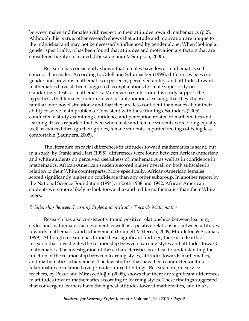between males and females with respect to their attitudes toward mathematics (p.2). Although this is true, other research shows that attitude and motivation are unique to the individual and may not be necessarily influenced by gender alone. When looking at gender specifically, it has been found that attitudes and motivation are factors that are considered highly correlated (Daskalogianni & Simpson, 2000).

Research has consistently shown that females have lower mathematics selfconcept than males. According to Odell and Schumacher (1998), differences between gender and previous mathematics experience, perceived ability, and attitudes toward mathematics have all been suggested as explanations for male superiority on standardized tests of mathematics. Moreover, results from this study support the hypothesis that females prefer rote versus autonomous learning; that they choose familiar over novel situations; and that they are less confident than males about their ability to solve math problems. Consistent with these findings, Saunders (2005) conducted a study examining confidence and perception related to mathematics and learning. It was reported that even when male and female students were doing equally well as evinced through their grades, female students' reported feelings of being less comfortable (Saunders, 2005).

The literature on racial differences in attitudes toward mathematics is scant, but in a study by Stanic and Hart (1995), differences were found between African-American and white students on perceived usefulness of mathematics as well as in confidence in mathematics. African-American students scored higher overall on both subscales in relation to their White counterparts. More specifically, African-American females scored significantly higher on confidence than any other subgroup. In another report by the National Science Foundation (1994), in both 1988 and 1992, African-American students were more likely to look forward to and to like mathematics than their White peers.

# *Relationship Between Learning Styles and Attitudes Towards Mathematics*

Research has also consistently found positive relationships between learning styles and mathematics achievement as well as a positive relationship between attitudes towards mathematics and achievement (Bramlett & Herron, 2009; Middleton & Spanias, 1999). Although research has found these significant findings, there is a dearth of research that investigates the relationship between learning styles and attitudes towards mathematics. The investigation of these characteristics is critical to understanding the function of the relationship between learning styles, attitudes towards mathematics, and mathematics achievement. The few studies that have been conducted on this relationship correlation have provided mixed findings. Research on pre-service teachers, by Peker and Mirasyedioğlu (2008), shows that there are significant differences in attitudes toward mathematics according to learning styles. These findings suggested that convergent learners have the highest attitudes toward mathematics, and this is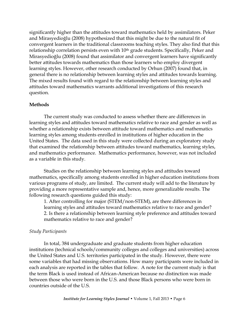significantly higher than the attitudes toward mathematics held by assimilators. Peker and Mirasyedioğlu (2008) hypothesized that this might be due to the natural fit of convergent learners in the traditional classrooms teaching styles. They also find that this relationship correlation persists even with 10<sup>th</sup> grade students. Specifically, Peker and Mirasyedioğlu (2008) found that assimilator and convergent learners have significantly better attitudes towards mathematics than those learners who employ divergent learning styles. However, other research conducted by Orhun (2007) found that, in general there is no relationship between learning styles and attitudes towards learning. The mixed results found with regard to the relationship between learning styles and attitudes toward mathematics warrants additional investigations of this research question.

# **Methods**

The current study was conducted to assess whether there are differences in learning styles and attitudes toward mathematics relative to race and gender as well as whether a relationship exists between attitude toward mathematics and mathematics learning styles among students enrolled in institutions of higher education in the United States. The data used in this study were collected during an exploratory study that examined the relationship between attitudes toward mathematics, learning styles, and mathematics performance. Mathematics performance, however, was not included as a variable in this study.

Studies on the relationship between learning styles and attitudes toward mathematics, specifically among students enrolled in higher education institutions from various programs of study, are limited. The current study will add to the literature by providing a more representative sample and, hence, more generalizable results. The following research questions guided this study:

1. After controlling for major (STEM/non-STEM), are there differences in learning styles and attitudes toward mathematics relative to race and gender? 2. Is there a relationship between learning style preference and attitudes toward mathematics relative to race and gender?

# *Study Participants*

In total, 384 undergraduate and graduate students from higher education institutions (technical schools/community colleges and colleges and universities) across the United States and U.S. territories participated in the study. However, there were some variables that had missing observations. How many participants were included in each analysis are reported in the tables that follow. A note for the current study is that the term Black is used instead of African-American because no distinction was made between those who were born in the U.S. and those Black persons who were born in countries outside of the U.S.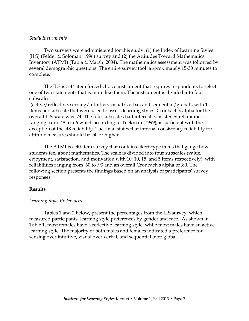#### *Study Instruments*

Two surveys were administered for this study: (1) the Index of Learning Styles (ILS) (Felder & Soloman, 1996) survey and (2) the Attitudes Toward Mathematics Inventory (ATMI) (Tapia & Marsh, 2004). The mathematics assessment was followed by several demographic questions. The entire survey took approximately 15-30 minutes to complete.

The ILS is a 44-item forced-choice instrument that requires respondents to select one of two statements that is more like them. The instrument is divided into four subscales

(active/reflective, sensing/intuitive, visual/verbal, and sequential/global), with 11 items per subscale that were used to assess learning styles. Cronbach's alpha for the overall ILS scale was .74. The four subscales had internal consistency reliabilities ranging from .48 to .66 which according to Tuckman (1999), is sufficient with the exception of the .48 reliability. Tuckman states that internal consistency reliability for attitude measures should be .50 or higher.

The ATMI is a 40-item survey that contains likert-type items that gauge how students feel about mathematics. The scale is divided into four subscales (value, enjoyment, satisfaction, and motivation with 10, 10, 15, and 5 items respectively), with reliabilities ranging from .60 to .93 and an overall Cronbach's alpha of .89. The following section presents the findings based on an analysis of participants' survey responses.

#### **Results**

#### *Learning Style Preferences*

Tables 1 and 2 below, present the percentages from the ILS survey, which measured participants' learning style preferences by gender and race. As shown in Table 1, most females have a reflective learning style, while most males have an active learning style. The majority of both males and females indicated a preference for sensing over intuitive, visual over verbal, and sequential over global.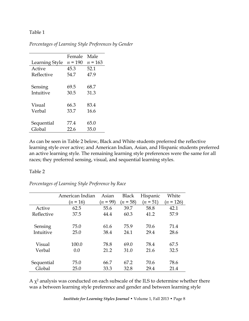# Table 1

|                | Female    | Male      |
|----------------|-----------|-----------|
| Learning Style | $n = 190$ | $n = 163$ |
| Active         | 45.3      | 52.1      |
| Reflective     | 54.7      | 47.9      |
|                |           |           |
| Sensing        | 69.5      | 68.7      |
| Intuitive      | 30.5      | 31.3      |
|                |           |           |
| Visual         | 66.3      | 83.4      |
| Verbal         | 33.7      | 16.6      |
|                |           |           |
| Sequential     | 77.4      | 65.0      |
| Global         | 22.6      | 35.0      |

*Percentages of Learning Style Preferences by Gender*

As can be seen in Table 2 below, Black and White students preferred the reflective learning style over active; and American Indian, Asian, and Hispanic students preferred an active learning style. The remaining learning style preferences were the same for all races; they preferred sensing, visual, and sequential learning styles.

# Table 2

*Percentages of Learning Style Preference by Race*

|            | American Indian | Asian      | <b>Black</b> | Hispanic   | White       |
|------------|-----------------|------------|--------------|------------|-------------|
|            | $(n = 16)$      | $(n = 99)$ | $(n = 58)$   | $(n = 51)$ | $(n = 126)$ |
| Active     | 62.5            | 55.6       | 39.7         | 58.8       | 42.1        |
| Reflective | 37.5            | 44.4       | 60.3         | 41.2       | 57.9        |
|            |                 |            |              |            |             |
| Sensing    | 75.0            | 61.6       | 75.9         | 70.6       | 71.4        |
| Intuitive  | 25.0            | 38.4       | 24.1         | 29.4       | 28.6        |
|            |                 |            |              |            |             |
| Visual     | 100.0           | 78.8       | 69.0         | 78.4       | 67.5        |
| Verbal     | 0.0             | 21.2       | 31.0         | 21.6       | 32.5        |
|            |                 |            |              |            |             |
| Sequential | 75.0            | 66.7       | 67.2         | 70.6       | 78.6        |
| Global     | 25.0            | 33.3       | 32.8         | 29.4       | 21.4        |

A  $\chi^2$  analysis was conducted on each subscale of the ILS to determine whether there was a between learning style preference and gender and between learning style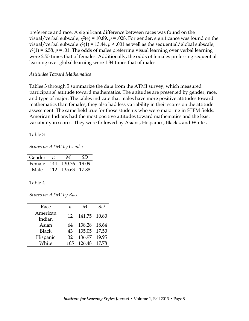preference and race. A significant difference between races was found on the visual/verbal subscale,  $\chi^2(4) = 10.89$ ,  $p = 0.028$ . For gender, significance was found on the visual/verbal subscale  $\chi^2(1) = 13.44$ ,  $p < .001$  as well as the sequential/global subscale,  $\chi^2(1)$  = 6.58, *p* = .01. The odds of males preferring visual learning over verbal learning were 2.55 times that of females. Additionally, the odds of females preferring sequential learning over global learning were 1.84 times that of males.

#### *Attitudes Toward Mathematics*

Tables 3 through 5 summarize the data from the ATMI survey, which measured participants' attitude toward mathematics. The attitudes are presented by gender, race, and type of major. The tables indicate that males have more positive attitudes toward mathematics than females; they also had less variability in their scores on the attitude assessment. The same held true for those students who were majoring in STEM fields. American Indians had the most positive attitudes toward mathematics and the least variability in scores. They were followed by Asians, Hispanics, Blacks, and Whites.

Table 3

*Scores on ATMI by Gender*

| Gender                  | $\eta$ | M                | SD. |
|-------------------------|--------|------------------|-----|
| Female 144 130.76 19.09 |        |                  |     |
| Male                    |        | 112 135.63 17.88 |     |

# Table 4

*Scores on ATMI by Race*

| Race         | п                | M                | SD |
|--------------|------------------|------------------|----|
| American     | 12 <sup>17</sup> | 141.75 10.80     |    |
| Indian       |                  |                  |    |
| Asian        | 64               | 138.28 18.64     |    |
| <b>Black</b> | 43               | 135.05 17.50     |    |
| Hispanic     | 32               | 136.97 19.95     |    |
| White        |                  | 105 126.48 17.78 |    |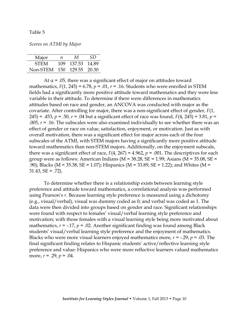#### Table 5

*Scores on ATMI by Major*

| Major                     | $n_{\parallel}$ | M            | SD. |
|---------------------------|-----------------|--------------|-----|
| <b>STEM</b>               | 109.            | 137.53 14.89 |     |
| Non-STEM 150 129.55 20.30 |                 |              |     |

At  $\alpha$  = .05, there was a significant effect of major on attitudes toward mathematics,  $F(1, 245) = 6.78$ ,  $p = .01$ ,  $r = .16$ . Students who were enrolled in STEM fields had a significantly more positive attitude toward mathematics and they were less variable in their attitude. To determine if there were differences in mathematics attitudes based on race and gender, an ANCOVA was conducted with major as the covariate. After controlling for major, there was a non-significant effect of gender, *F*(1, 245) = .453, *p* = .50, *r* = .04 but a significant effect of race was found, *F*(4, 245) = 3.81, *p* = .005,  $r = 0.16$ . The subscales were also examined individually to see whether there was an effect of gender or race on value, satisfaction, enjoyment, or motivation. Just as with overall motivation, there was a significant effect for major across each of the four subscales of the ATMI, with STEM majors having a significantly more positive attitude toward mathematics than non-STEM majors. Additionally, on the enjoyment subscale, there was a significant effect of race,  $F(4, 267) = 4.962$ ,  $p = .001$ . The descriptives for each group were as follows: American Indians ( $M = 38.28$ ,  $SE = 1.99$ ; Asians ( $M = 35.08$ ,  $SE =$ .90); Blacks (M = 35.38, SE = 1.07); Hispanics (M = 33.89, SE = 1.22); and Whites (M =  $31.43, SE = .72$ ).

To determine whether there is a relationship exists between learning style preference and attitude toward mathematics, a correlational analysis was performed using Pearson's *r*. Because learning style preference is measured using a dichotomy (e.g., visual/verbal), visual was dummy coded as 0; and verbal was coded as 1. The data were then divided into groups based on gender and race. Significant relationships were found with respect to females' visual/verbal learning style preference and motivation; with those females with a visual learning style being more motivated about mathematics,  $r = -.17$ ,  $p = .02$ . Another significant finding was found among Black students' visual/verbal learning style preference and the enjoyment of mathematics. Blacks who were more visual learners enjoyed mathematics more,  $r = -0.29$ ,  $p = 0.03$ . The final significant finding relates to Hispanic students' active/reflective learning style preference and value: Hispanics who were more reflective learners valued mathematics more, *r* = .29, *p* = .04.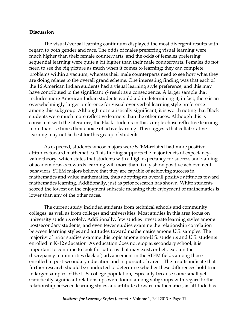#### **Discussion**

The visual/verbal learning continuum displayed the most divergent results with regard to both gender and race. The odds of males preferring visual learning were much higher than their female counterparts, and the odds of females preferring sequential learning were quite a bit higher than their male counterparts. Females do not need to see the big picture as much when it comes to learning; they can complete problems within a vacuum, whereas their male counterparts need to see how what they are doing relates to the overall grand scheme. One interesting finding was that each of the 16 American Indian students had a visual learning style preference, and this may have contributed to the significant  $\chi^2$  result as a consequence. A larger sample that includes more American Indian students would aid in determining if, in fact, there is an overwhelmingly larger preference for visual over verbal learning style preference among this subgroup. Although not statistically significant, it is worth noting that Black students were much more reflective learners than the other races. Although this is consistent with the literature, the Black students in this sample chose reflective learning more than 1.5 times their choice of active learning. This suggests that collaborative learning may not be best for this group of students.

As expected, students whose majors were STEM-related had more positive attitudes toward mathematics. This finding supports the major tenets of expectancyvalue theory, which states that students with a high expectancy for success and valuing of academic tasks towards learning will more than likely show positive achievement behaviors. STEM majors believe that they are capable of achieving success in mathematics and value mathematics, thus adopting an overall positive attitudes toward mathematics learning. Additionally, just as prior research has shown, White students scored the lowest on the enjoyment subscale meaning their enjoyment of mathematics is lower than any of the other races.

The current study included students from technical schools and community colleges, as well as from colleges and universities. Most studies in this area focus on university students solely. Additionally, few studies investigate learning styles among postsecondary students; and even fewer studies examine the relationship correlation between learning styles and attitudes toward mathematics among U.S. samples. The majority of prior studies examine this topic among non-U.S. students and U.S. students enrolled in K-12 education. As education does not stop at secondary school, it is important to continue to look for patterns that may exist, or help explain the discrepancy in minorities (lack of) advancement in the STEM fields among those enrolled in post-secondary education and in pursuit of career. The results indicate that further research should be conducted to determine whether these differences hold true in larger samples of the U.S. college population, especially because some small yet statistically significant relationships were found among subgroups with regard to the relationship between learning styles and attitudes toward mathematics, as attitude has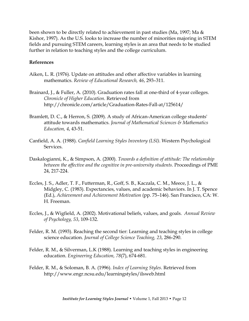been shown to be directly related to achievement in past studies (Ma, 1997; Ma & Kishor, 1997). As the U.S. looks to increase the number of minorities majoring in STEM fields and pursuing STEM careers, learning styles is an area that needs to be studied further in relation to teaching styles and the college curriculum.

#### **References**

- Aiken, L. R. (1976). Update on attitudes and other affective variables in learning mathematics. *Review of Educational Research, 46*, 293–311.
- Brainard, J., & Fuller, A. (2010). Graduation rates fall at one-third of 4-year colleges. *Chronicle of Higher Education*. Retrieved from http://chronicle.com/article/Graduation-Rates-Fall-at/125614/
- Bramlett, D. C., & Herron, S. (2009). A study of African-American college students' attitude towards mathematics. *Journal of Mathematical Sciences & Mathematics Education, 4*, 43-51.
- Canfield, A. A. (1988). *Canfield Learning Styles Inventory (LSI)*. Western Psychological Services.
- Daskalogianni, K., & Simpson, A. (2000). *Towards a definition of attitude: The relationship between the affective and the cognitive in pre-university students.* Proceedings of PME 24, 217-224.
- Eccles, J. S., Adler, T. F., Futterman, R., Goff, S. B., Kaczala, C. M., Meece, J. L., & Midgley, C. (1983). Expectancies, values, and academic behaviors. In J. T. Spence (Ed.), *Achievement and Achievement Motivation* (pp. 75–146). San Francisco, CA: W. H. Freeman.
- Eccles, J., & Wigfield, A. (2002). Motivational beliefs, values, and goals. *Annual Review of Psychology, 53*, 109-132.
- Felder, R. M. (1993). Reaching the second tier: Learning and teaching styles in college science education. *Journal of College Science Teaching, 23*, 286-290.
- Felder, R. M., & Silverman, L.K (1988). Learning and teaching styles in engineering education. *Engineering Education, 78*(7), 674-681.
- Felder, R. M., & Soloman, B. A. (1996). *Index of Learning Styles*. Retrieved from http://www.engr.ncsu.edu/learningstyles/ilsweb.html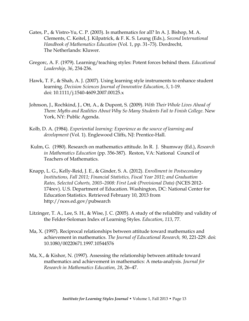- Gates, P., & Vistro-Yu, C. P. (2003). Is mathematics for all? In A. J. Bishop, M. A. Clements, C. Keitel, J. Kilpatrick, & F. K. S. Leung (Eds.), *Second* I*nternational Handbook of Mathematics Education* (Vol. 1, pp. 31–73). Dordrecht, The Netherlands: Kluwer.
- Gregorc, A. F. (1979). Learning/teaching styles: Potent forces behind them. *Educational Leadership*, *36*, 234-236.
- Hawk, T. F., & Shah, A. J. (2007). Using learning style instruments to enhance student learning. *Decision Sciences Journal of Innovative Education*, *5*, 1-19. doi: 10.1111/j.1540-4609.2007.00125.x
- Johnson, J., Rochkind, J., Ott, A., & Dupont, S. (2009). *With Their Whole Lives Ahead of Them*: *Myths and Realities About Why So Many Students Fail to Finish College*. New York, NY: Public Agenda.
- Kolb, D. A. (1984). *Experiential learning: Experience as the source of learning and development* (Vol. 1). Englewood Cliffs, NJ: Prentice-Hall.
- Kulm, G. (1980). Research on mathematics attitude. In R. J. Shumway (Ed.), *Research in Mathematics Education* (pp. 356-387). Reston, VA: National Council of Teachers of Mathematics.
- Knapp, L. G., Kelly-Reid, J. E., & Ginder, S. A. (2012). *Enrollment in Postsecondary Institutions, Fall 2011; Financial Statistics, Fiscal Year 2011; and Graduation Rates, Selected Cohorts, 2003–2008: First Look (Provisional Data)* (NCES 2012- 174rev). U.S. Department of Education. Washington, DC: National Center for Education Statistics. Retrieved February 10, 2013 from http://nces.ed.gov/pubsearch
- Litzinger, T. A., Lee, S. H., & Wise, J. C. (2005). A study of the reliability and validity of the Felder-Soloman Index of Learning Styles. *Education*, *113*, 77.
- Ma, X. (1997). Reciprocal relationships between attitude toward mathematics and achievement in mathematics. *The Journal of Educational Research, 90*, 221-229. doi: 10.1080/00220671.1997.10544576
- Ma, X., & Kishor, N. (1997). Assessing the relationship between attitude toward mathematics and achievement in mathematics: A meta-analysis. *Journal for Research in Mathematics Education, 28*, 26–47.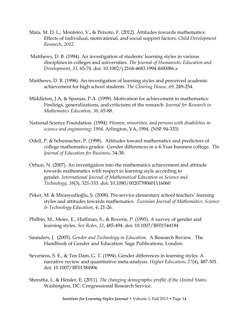- Mata, M. D. L., Monteiro, V., & Peixoto, F. (2012). Attitudes towards mathematics: Effects of individual, motivational, and social support factors. *Child Development Research*, *2012*.
- Matthews, D. B. (1994). An investigation of students' learning styles in various disciplines in colleges and universities. *The Journal of Humanistic Education and Development*, *33*, 65-74. doi: 10.1002/j.2164-4683.1994.tb00086.x
- Matthews, D. B. (1996). An investigation of learning styles and perceived academic achievement for high school students. *The Clearing House*, *69*, 249-254.
- Middleton, J.A, & Spanias, P.A. (1999). Motivation for achievement in mathematics: Findings, generalizations, and criticisms of the research. *Journal for Research in Mathematics Education, 30*, 65-88.
- National Science Foundation. (1994). *Women, minorities, and persons with disabilities in science and engineering: 1994*. Arlington, VA, 1994. (NSF 94-333)
- Odell, P. & Schumacher, P. (1998). Attitudes toward mathematics and predictors of college mathematics grades: Gender differences in a 4-Year business college. *The Journal of Education for Business*, 34-38.
- Orhun, N. (2007). An investigation into the mathematics achievement and attitude towards mathematics with respect to learning style according to gender. *International Journal of Mathematical Education in Science and Technology*, *38*(3), 321-333. doi: 10.1080/00207390601116060
- Peker, M. & Mirasyedioğlu, Ş. (2008). Pre-service elementary school teachers' learning styles and attitudes towards mathematics. *Eurasian Journal of Mathematics, Science & Technology Education, 4*, 21-26.
- Philbin, M., Meier, E., Huffman, S., & Boverie, P. (1995). A survey of gender and learning styles. *Sex Roles*, *32*, 485-494. doi: 10.1007/BF01544184
- Saunders, J. (2005). *Gender and Technology in Education*. A Research Review. The Handbook of Gender and Education. Sage Publications, London.
- Severiens, S. E., & Ten Dam, G. T. (1994). Gender differences in learning styles: A narrative review and quantitative meta-analysis. *Higher Education*, *27*(4), 487-501. doi: 10.1007/BF01384906
- Shrestha, L. & Heisler, E. (2011). *The changing demographic profile of the United States*. Washington, DC: Congressional Research Service.